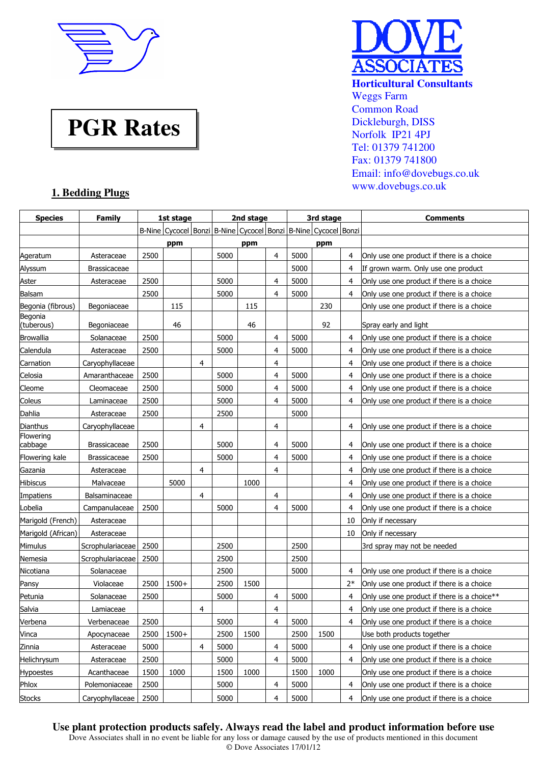

# **PGR Rates**



www.dovebugs.co.uk

# **1. Bedding Plugs**

| <b>Species</b>        | <b>Family</b>       |      | 1st stage                                                                      |   |      | 2nd stage |   |      | 3rd stage |                | Comments                                    |
|-----------------------|---------------------|------|--------------------------------------------------------------------------------|---|------|-----------|---|------|-----------|----------------|---------------------------------------------|
|                       |                     |      | B-Nine   Cycocel   Bonzi   B-Nine   Cycocel   Bonzi   B-Nine   Cycocel   Bonzi |   |      |           |   |      |           |                |                                             |
|                       |                     |      | ppm                                                                            |   |      | ppm       |   |      | ppm       |                |                                             |
| Ageratum              | Asteraceae          | 2500 |                                                                                |   | 5000 |           | 4 | 5000 |           | 4              | Only use one product if there is a choice   |
| Alyssum               | <b>Brassicaceae</b> |      |                                                                                |   |      |           |   | 5000 |           | 4              | If grown warm. Only use one product         |
| Aster                 | Asteraceae          | 2500 |                                                                                |   | 5000 |           | 4 | 5000 |           | 4              | Only use one product if there is a choice   |
| Balsam                |                     | 2500 |                                                                                |   | 5000 |           | 4 | 5000 |           | 4              | Only use one product if there is a choice   |
| Begonia (fibrous)     | Begoniaceae         |      | 115                                                                            |   |      | 115       |   |      | 230       |                | Only use one product if there is a choice   |
| Begonia<br>(tuberous) | Begoniaceae         |      | 46                                                                             |   |      | 46        |   |      | 92        |                | Spray early and light                       |
| Browallia             | Solanaceae          | 2500 |                                                                                |   | 5000 |           | 4 | 5000 |           | 4              | Only use one product if there is a choice   |
| Calendula             | Asteraceae          | 2500 |                                                                                |   | 5000 |           | 4 | 5000 |           | 4              | Only use one product if there is a choice   |
| Carnation             | Caryophyllaceae     |      |                                                                                | 4 |      |           | 4 |      |           | 4              | Only use one product if there is a choice   |
| Celosia               | Amaranthaceae       | 2500 |                                                                                |   | 5000 |           | 4 | 5000 |           | 4              | Only use one product if there is a choice   |
| Cleome                | Cleomaceae          | 2500 |                                                                                |   | 5000 |           | 4 | 5000 |           | 4              | Only use one product if there is a choice   |
| Coleus                | Laminaceae          | 2500 |                                                                                |   | 5000 |           | 4 | 5000 |           | 4              | Only use one product if there is a choice   |
| Dahlia                | Asteraceae          | 2500 |                                                                                |   | 2500 |           |   | 5000 |           |                |                                             |
| Dianthus              | Caryophyllaceae     |      |                                                                                | 4 |      |           | 4 |      |           | 4              | Only use one product if there is a choice   |
| Flowering<br>cabbage  | <b>Brassicaceae</b> | 2500 |                                                                                |   | 5000 |           | 4 | 5000 |           | 4              | Only use one product if there is a choice   |
| Flowering kale        | <b>Brassicaceae</b> | 2500 |                                                                                |   | 5000 |           | 4 | 5000 |           | 4              | Only use one product if there is a choice   |
| Gazania               | Asteraceae          |      |                                                                                | 4 |      |           | 4 |      |           | 4              | Only use one product if there is a choice   |
| <b>Hibiscus</b>       | Malvaceae           |      | 5000                                                                           |   |      | 1000      |   |      |           | 4              | Only use one product if there is a choice   |
| Impatiens             | Balsaminaceae       |      |                                                                                | 4 |      |           | 4 |      |           | 4              | Only use one product if there is a choice   |
| Lobelia               | Campanulaceae       | 2500 |                                                                                |   | 5000 |           | 4 | 5000 |           | 4              | Only use one product if there is a choice   |
| Marigold (French)     | Asteraceae          |      |                                                                                |   |      |           |   |      |           | 10             | Only if necessary                           |
| Marigold (African)    | Asteraceae          |      |                                                                                |   |      |           |   |      |           | 10             | Only if necessary                           |
| Mimulus               | Scrophulariaceae    | 2500 |                                                                                |   | 2500 |           |   | 2500 |           |                | 3rd spray may not be needed                 |
| Nemesia               | Scrophulariaceae    | 2500 |                                                                                |   | 2500 |           |   | 2500 |           |                |                                             |
| Nicotiana             | Solanaceae          |      |                                                                                |   | 2500 |           |   | 5000 |           | 4              | Only use one product if there is a choice   |
| Pansy                 | Violaceae           | 2500 | $1500+$                                                                        |   | 2500 | 1500      |   |      |           | $2*$           | Only use one product if there is a choice   |
| Petunia               | Solanaceae          | 2500 |                                                                                |   | 5000 |           | 4 | 5000 |           | 4              | Only use one product if there is a choice** |
| Salvia                | Lamiaceae           |      |                                                                                | 4 |      |           | 4 |      |           | 4              | Only use one product if there is a choice   |
| Verbena               | Verbenaceae         | 2500 |                                                                                |   | 5000 |           | 4 | 5000 |           | 4              | Only use one product if there is a choice   |
| Vinca                 | Apocynaceae         | 2500 | $1500+$                                                                        |   | 2500 | 1500      |   | 2500 | 1500      |                | Use both products together                  |
| Zinnia                | Asteraceae          | 5000 |                                                                                | 4 | 5000 |           | 4 | 5000 |           | $\overline{4}$ | Only use one product if there is a choice   |
| Helichrysum           | Asteraceae          | 2500 |                                                                                |   | 5000 |           | 4 | 5000 |           | $\overline{4}$ | Only use one product if there is a choice   |
| <b>Hypoestes</b>      | Acanthaceae         | 1500 | 1000                                                                           |   | 1500 | 1000      |   | 1500 | 1000      |                | Only use one product if there is a choice   |
| Phlox                 | Polemoniaceae       | 2500 |                                                                                |   | 5000 |           | 4 | 5000 |           | 4              | Only use one product if there is a choice   |
| <b>Stocks</b>         | Caryophyllaceae     | 2500 |                                                                                |   | 5000 |           | 4 | 5000 |           | 4              | Only use one product if there is a choice   |

**Use plant protection products safely. Always read the label and product information before use**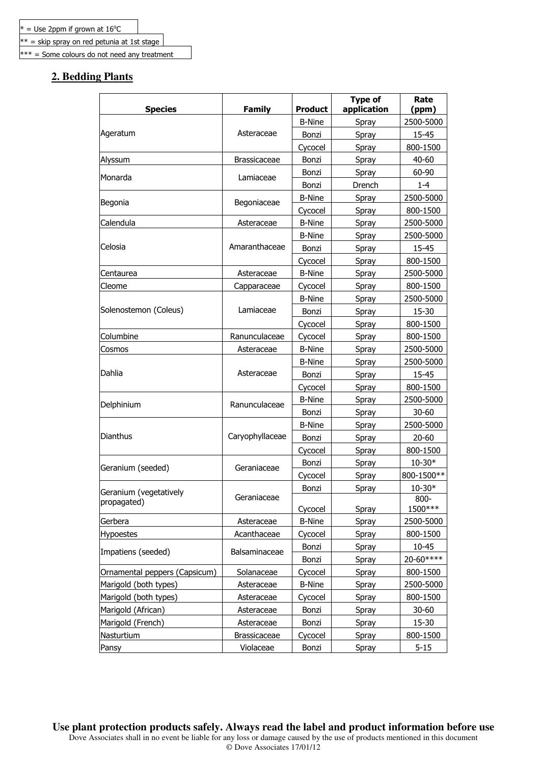$**$  = skip spray on red petunia at 1st stage

\*\*\* = Some colours do not need any treatment

## **2. Bedding Plants**

| <b>Species</b>                | <b>Family</b>       | <b>Product</b> | <b>Type of</b><br>application | Rate<br>(ppm)      |
|-------------------------------|---------------------|----------------|-------------------------------|--------------------|
|                               |                     | <b>B-Nine</b>  | Spray                         | 2500-5000          |
| Ageratum                      | Asteraceae          | Bonzi          | Spray                         | 15-45              |
|                               |                     | Cycocel        | Spray                         | 800-1500           |
| Alyssum                       | <b>Brassicaceae</b> | Bonzi          | Spray                         | 40-60              |
| Monarda                       | Lamiaceae           | Bonzi          | Spray                         | 60-90              |
|                               |                     | Bonzi          | Drench                        | $1 - 4$            |
| Begonia                       | Begoniaceae         | <b>B-Nine</b>  | Spray                         | 2500-5000          |
|                               |                     | Cycocel        | Spray                         | 800-1500           |
| Calendula                     | Asteraceae          | <b>B-Nine</b>  | Spray                         | 2500-5000          |
|                               |                     | <b>B-Nine</b>  | Spray                         | 2500-5000          |
| Celosia                       | Amaranthaceae       | Bonzi          | Spray                         | 15-45              |
|                               |                     | Cycocel        | Spray                         | 800-1500           |
| Centaurea                     | Asteraceae          | <b>B-Nine</b>  | Spray                         | 2500-5000          |
| Cleome                        | Capparaceae         | Cycocel        | Spray                         | 800-1500           |
|                               |                     | <b>B-Nine</b>  | Spray                         | 2500-5000          |
| Solenostemon (Coleus)         | Lamiaceae           | Bonzi          | Spray                         | 15-30              |
|                               |                     | Cycocel        | Spray                         | 800-1500           |
| Columbine                     | Ranunculaceae       | Cycocel        | Spray                         | 800-1500           |
| Cosmos                        | Asteraceae          | <b>B-Nine</b>  | Spray                         | 2500-5000          |
|                               |                     | <b>B-Nine</b>  | Spray                         | 2500-5000          |
| Dahlia                        | Asteraceae          | Bonzi          | Spray                         | 15-45              |
|                               |                     | Cycocel        | Spray                         | 800-1500           |
| Delphinium                    | Ranunculaceae       | <b>B-Nine</b>  | Spray                         | 2500-5000          |
|                               |                     | Bonzi          | Spray                         | 30-60              |
|                               |                     | <b>B-Nine</b>  | Spray                         | 2500-5000          |
| Dianthus                      | Caryophyllaceae     | Bonzi          | Spray                         | $20 - 60$          |
|                               |                     | Cycocel        | Spray                         | 800-1500           |
| Geranium (seeded)             | Geraniaceae         | Bonzi          | Spray                         | $10 - 30*$         |
|                               |                     | Cycocel        | Spray                         | 800-1500**         |
| Geranium (vegetatively        |                     | Bonzi          | Spray                         | $10 - 30*$         |
| propagated)                   | Geraniaceae         | Cycocel        | Spray                         | $800 -$<br>1500*** |
| Gerbera                       | Asteraceae          | <b>B-Nine</b>  | Spray                         | 2500-5000          |
| <b>Hypoestes</b>              | Acanthaceae         | Cycocel        | Spray                         | 800-1500           |
|                               |                     | Bonzi          | Spray                         | 10-45              |
| Impatiens (seeded)            | Balsaminaceae       | Bonzi          | Spray                         | 20-60****          |
| Ornamental peppers (Capsicum) | Solanaceae          | Cycocel        | Spray                         | 800-1500           |
| Marigold (both types)         | Asteraceae          | <b>B-Nine</b>  | Spray                         | 2500-5000          |
| Marigold (both types)         | Asteraceae          | Cycocel        | Spray                         | 800-1500           |
| Marigold (African)            | Asteraceae          | Bonzi          | Spray                         | $30 - 60$          |
| Marigold (French)             | Asteraceae          | Bonzi          | Spray                         | 15-30              |
| Nasturtium                    | Brassicaceae        | Cycocel        | Spray                         | 800-1500           |
| Pansy                         | Violaceae           | Bonzi          | <b>Spray</b>                  | $5 - 15$           |

**Use plant protection products safely. Always read the label and product information before use**  Dove Associates shall in no event be liable for any loss or damage caused by the use of products mentioned in this document © Dove Associates 17/01/12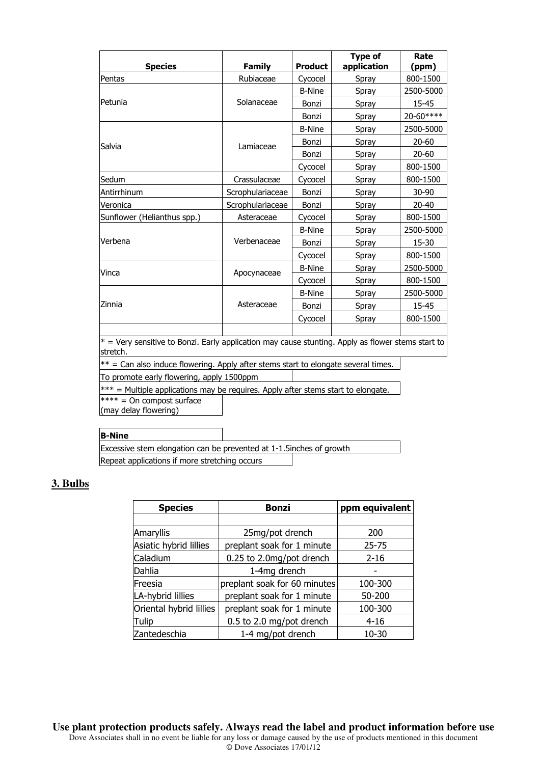| <b>Species</b>                                                                                                  | <b>Family</b>    | <b>Product</b> | <b>Type of</b><br>application | Rate<br>(ppm) |  |  |
|-----------------------------------------------------------------------------------------------------------------|------------------|----------------|-------------------------------|---------------|--|--|
| Pentas                                                                                                          | Rubiaceae        | Cycocel        | Spray                         | 800-1500      |  |  |
|                                                                                                                 |                  | <b>B-Nine</b>  | Spray                         | 2500-5000     |  |  |
| Petunia                                                                                                         | Solanaceae       | Bonzi          | Spray                         | 15-45         |  |  |
|                                                                                                                 |                  | Bonzi          | Spray                         | 20-60****     |  |  |
|                                                                                                                 |                  | <b>B-Nine</b>  | Spray                         | 2500-5000     |  |  |
| Salvia                                                                                                          | Lamiaceae        | Bonzi          | Spray                         | $20 - 60$     |  |  |
|                                                                                                                 |                  | Bonzi          | Spray                         | $20 - 60$     |  |  |
|                                                                                                                 |                  | Cycocel        | Spray                         | 800-1500      |  |  |
| Sedum                                                                                                           | Crassulaceae     | Cycocel        | Spray                         | 800-1500      |  |  |
| lAntirrhinum                                                                                                    | Scrophulariaceae | Bonzi          | Spray                         | $30 - 90$     |  |  |
| Veronica                                                                                                        | Scrophulariaceae | Bonzi          | Spray                         | $20 - 40$     |  |  |
| Sunflower (Helianthus spp.)                                                                                     | Asteraceae       | Cycocel        | Spray                         | 800-1500      |  |  |
|                                                                                                                 |                  | <b>B-Nine</b>  | Spray                         | 2500-5000     |  |  |
| Verbena                                                                                                         | Verbenaceae      | Bonzi          | Spray                         | 15-30         |  |  |
|                                                                                                                 |                  | Cycocel        | Spray                         | 800-1500      |  |  |
| Vinca                                                                                                           | Apocynaceae      | <b>B-Nine</b>  | Spray                         | 2500-5000     |  |  |
|                                                                                                                 |                  | Cycocel        | Spray                         | 800-1500      |  |  |
|                                                                                                                 |                  | <b>B-Nine</b>  | Spray                         | 2500-5000     |  |  |
| Zinnia                                                                                                          | Asteraceae       | Bonzi          | Spray                         | 15-45         |  |  |
|                                                                                                                 |                  | Cycocel        | Spray                         | 800-1500      |  |  |
|                                                                                                                 |                  |                |                               |               |  |  |
| $*$ = Very sensitive to Bonzi. Early application may cause stunting. Apply as flower stems start to<br>stretch. |                  |                |                               |               |  |  |
| $**$ = Can also induce flowering. Apply after stems start to elongate several times.                            |                  |                |                               |               |  |  |
| To promote early flowering, apply 1500ppm                                                                       |                  |                |                               |               |  |  |
| $\ast\ast\ast$ = Multiple applications may be requires. Apply after stems start to elongate.                    |                  |                |                               |               |  |  |
| $***$ = On compost surface<br>(may delay flowering)                                                             |                  |                |                               |               |  |  |

B-Nine Excessive stem elongation can be prevented at 1-1.5inches of growth Repeat applications if more stretching occurs

## **3. Bulbs**

| <b>Species</b>          | <b>Bonzi</b>                 | ppm equivalent |
|-------------------------|------------------------------|----------------|
|                         |                              |                |
| Amaryllis               | 25mg/pot drench              | 200            |
| Asiatic hybrid lillies  | preplant soak for 1 minute   | $25 - 75$      |
| Caladium                | 0.25 to 2.0mg/pot drench     | $2 - 16$       |
| Dahlia                  | 1-4mg drench                 |                |
| Freesia                 | preplant soak for 60 minutes | 100-300        |
| LA-hybrid lillies       | preplant soak for 1 minute   | 50-200         |
| Oriental hybrid lillies | preplant soak for 1 minute   | 100-300        |
| Tulip                   | 0.5 to 2.0 mg/pot drench     | $4 - 16$       |
| Zantedeschia            | 1-4 mg/pot drench            | 10-30          |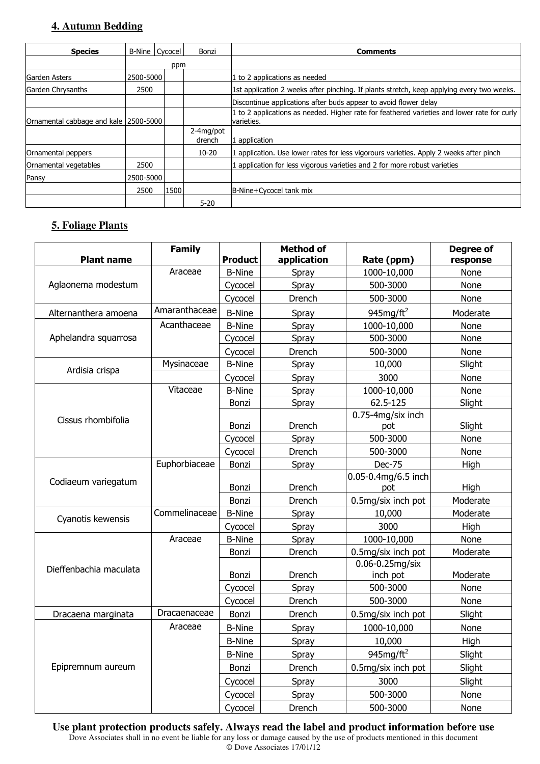# **4. Autumn Bedding**

| <b>Species</b>                          | <b>B-Nine Cycocel</b> |      | Bonzi               | <b>Comments</b>                                                                                           |
|-----------------------------------------|-----------------------|------|---------------------|-----------------------------------------------------------------------------------------------------------|
|                                         | ppm                   |      |                     |                                                                                                           |
| Garden Asters                           | 2500-5000             |      |                     | 1 to 2 applications as needed                                                                             |
| Garden Chrysanths                       | 2500                  |      |                     | 1st application 2 weeks after pinching. If plants stretch, keep applying every two weeks.                 |
|                                         |                       |      |                     | Discontinue applications after buds appear to avoid flower delay                                          |
| Ornamental cabbage and kale   2500-5000 |                       |      |                     | 1 to 2 applications as needed. Higher rate for feathered varieties and lower rate for curly<br>varieties. |
|                                         |                       |      | 2-4mg/pot<br>drench | application                                                                                               |
| Ornamental peppers                      |                       |      | $10 - 20$           | application. Use lower rates for less vigorours varieties. Apply 2 weeks after pinch                      |
| Ornamental vegetables                   | 2500                  |      |                     | application for less vigorous varieties and 2 for more robust varieties                                   |
| Pansy                                   | 2500-5000             |      |                     |                                                                                                           |
|                                         | 2500                  | 1500 |                     | B-Nine+Cycocel tank mix                                                                                   |
|                                         |                       |      | $5 - 20$            |                                                                                                           |

# **5. Foliage Plants**

|                        | <b>Family</b> |                | <b>Method of</b> |                            | Degree of |
|------------------------|---------------|----------------|------------------|----------------------------|-----------|
| <b>Plant name</b>      |               | <b>Product</b> | application      | Rate (ppm)                 | response  |
|                        | Araceae       | <b>B-Nine</b>  | Spray            | 1000-10,000                | None      |
| Aglaonema modestum     |               | Cycocel        | Spray            | 500-3000                   | None      |
|                        |               | Cycocel        | Drench           | 500-3000                   | None      |
| Alternanthera amoena   | Amaranthaceae | <b>B-Nine</b>  | Spray            | 945 $mg/ft^2$              | Moderate  |
|                        | Acanthaceae   | <b>B-Nine</b>  | Spray            | 1000-10,000                | None      |
| Aphelandra squarrosa   |               | Cycocel        | Spray            | 500-3000                   | None      |
|                        |               | Cycocel        | Drench           | 500-3000                   | None      |
| Ardisia crispa         | Mysinaceae    | <b>B-Nine</b>  | Spray            | 10,000                     | Slight    |
|                        |               | Cycocel        | Spray            | 3000                       | None      |
|                        | Vitaceae      | <b>B-Nine</b>  | Spray            | 1000-10,000                | None      |
|                        |               | Bonzi          | Spray            | 62.5-125                   | Slight    |
| Cissus rhombifolia     |               |                |                  | 0.75-4mg/six inch          |           |
|                        |               | Bonzi          | Drench           | pot                        | Slight    |
|                        |               | Cycocel        | Spray            | 500-3000                   | None      |
|                        |               | Cycocel        | Drench           | 500-3000                   | None      |
|                        | Euphorbiaceae | Bonzi          | Spray            | <b>Dec-75</b>              | High      |
| Codiaeum variegatum    |               | Bonzi          | Drench           | 0.05-0.4mg/6.5 inch<br>pot | High      |
|                        |               | Bonzi          | Drench           | 0.5mg/six inch pot         | Moderate  |
|                        | Commelinaceae | <b>B-Nine</b>  | Spray            | 10,000                     | Moderate  |
| Cyanotis kewensis      |               | Cycocel        | Spray            | 3000                       | High      |
|                        | Araceae       | <b>B-Nine</b>  | Spray            | 1000-10,000                | None      |
|                        |               | Bonzi          | Drench           | 0.5mg/six inch pot         | Moderate  |
|                        |               |                |                  | 0.06-0.25mg/six            |           |
| Dieffenbachia maculata |               | Bonzi          | Drench           | inch pot                   | Moderate  |
|                        |               | Cycocel        | Spray            | 500-3000                   | None      |
|                        |               | Cycocel        | Drench           | 500-3000                   | None      |
| Dracaena marginata     | Dracaenaceae  | Bonzi          | Drench           | 0.5mg/six inch pot         | Slight    |
|                        | Araceae       | <b>B-Nine</b>  | Spray            | 1000-10,000                | None      |
|                        |               | <b>B-Nine</b>  | Spray            | 10,000                     | High      |
|                        |               | <b>B-Nine</b>  | Spray            | 945 $mg/ft^2$              | Slight    |
| Epipremnum aureum      |               | Bonzi          | Drench           | 0.5mg/six inch pot         | Slight    |
|                        |               | Cycocel        | Spray            | 3000                       | Slight    |
|                        |               | Cycocel        | Spray            | 500-3000                   | None      |
|                        |               | Cycocel        | Drench           | 500-3000                   | None      |

**Use plant protection products safely. Always read the label and product information before use**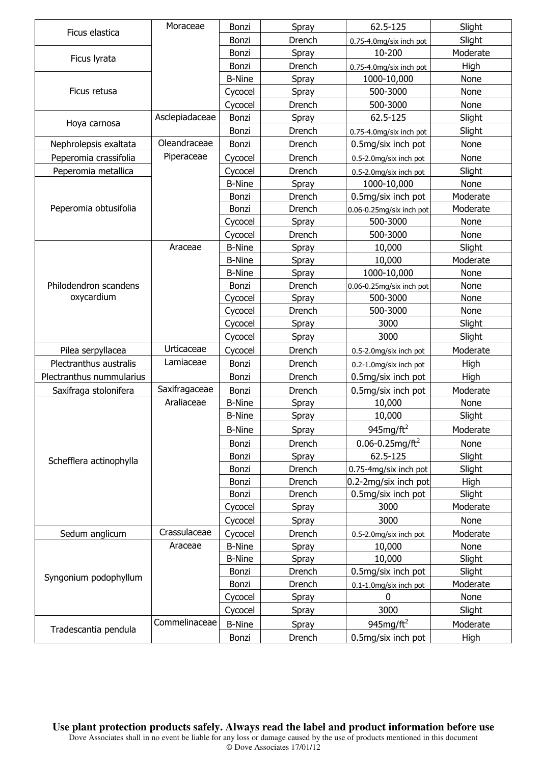| Ficus elastica           | Moraceae       | Bonzi         | Spray  | 62.5-125                    | Slight   |
|--------------------------|----------------|---------------|--------|-----------------------------|----------|
|                          |                | Bonzi         | Drench | 0.75-4.0mg/six inch pot     | Slight   |
|                          |                | Bonzi         | Spray  | 10-200                      | Moderate |
| Ficus lyrata             |                | Bonzi         | Drench | 0.75-4.0mg/six inch pot     | High     |
|                          |                | <b>B-Nine</b> | Spray  | 1000-10,000                 | None     |
| Ficus retusa             |                | Cycocel       | Spray  | 500-3000                    | None     |
|                          |                | Cycocel       | Drench | 500-3000                    | None     |
|                          | Asclepiadaceae | Bonzi         | Spray  | 62.5-125                    | Slight   |
| Hoya carnosa             |                | Bonzi         | Drench | 0.75-4.0mg/six inch pot     | Slight   |
| Nephrolepsis exaltata    | Oleandraceae   | Bonzi         | Drench | 0.5mg/six inch pot          | None     |
| Peperomia crassifolia    | Piperaceae     | Cycocel       | Drench | 0.5-2.0mg/six inch pot      | None     |
| Peperomia metallica      |                | Cycocel       | Drench | 0.5-2.0mg/six inch pot      | Slight   |
|                          |                | <b>B-Nine</b> | Spray  | 1000-10,000                 | None     |
|                          |                | Bonzi         | Drench | 0.5mg/six inch pot          | Moderate |
| Peperomia obtusifolia    |                | Bonzi         | Drench | 0.06-0.25mg/six inch pot    | Moderate |
|                          |                | Cycocel       | Spray  | 500-3000                    | None     |
|                          |                | Cycocel       | Drench | 500-3000                    | None     |
|                          | Araceae        | <b>B-Nine</b> | Spray  | 10,000                      | Slight   |
|                          |                | <b>B-Nine</b> | Spray  | 10,000                      | Moderate |
|                          |                | <b>B-Nine</b> | Spray  | 1000-10,000                 | None     |
| Philodendron scandens    |                | Bonzi         | Drench | 0.06-0.25mg/six inch pot    | None     |
| oxycardium               |                | Cycocel       | Spray  | 500-3000                    | None     |
|                          |                | Cycocel       | Drench | 500-3000                    | None     |
|                          |                | Cycocel       | Spray  | 3000                        | Slight   |
|                          |                | Cycocel       | Spray  | 3000                        | Slight   |
| Pilea serpyllacea        | Urticaceae     | Cycocel       | Drench | 0.5-2.0mg/six inch pot      | Moderate |
| Plectranthus australis   | Lamiaceae      | Bonzi         | Drench | 0.2-1.0mg/six inch pot      | High     |
| Plectranthus nummularius |                | Bonzi         | Drench | 0.5mg/six inch pot          | High     |
| Saxifraga stolonifera    | Saxifragaceae  | Bonzi         | Drench | 0.5mg/six inch pot          | Moderate |
|                          | Araliaceae     | <b>B-Nine</b> | Spray  | 10,000                      | None     |
|                          |                | <b>B-Nine</b> | Spray  | 10,000                      | Slight   |
|                          |                | <b>B-Nine</b> | Spray  | $945mg/ft^2$                | Moderate |
|                          |                | Bonzi         | Drench | 0.06-0.25mg/ft <sup>2</sup> | None     |
|                          |                | Bonzi         | Spray  | 62.5-125                    | Slight   |
| Schefflera actinophylla  |                | Bonzi         | Drench | 0.75-4mg/six inch pot       | Slight   |
|                          |                | Bonzi         | Drench | 0.2-2mg/six inch pot        | High     |
|                          |                | Bonzi         | Drench | 0.5mg/six inch pot          | Slight   |
|                          |                | Cycocel       | Spray  | 3000                        | Moderate |
|                          |                | Cycocel       | Spray  | 3000                        | None     |
| Sedum anglicum           | Crassulaceae   | Cycocel       | Drench | 0.5-2.0mg/six inch pot      | Moderate |
|                          | Araceae        | <b>B-Nine</b> | Spray  | 10,000                      | None     |
|                          |                | <b>B-Nine</b> | Spray  | 10,000                      | Slight   |
|                          |                | Bonzi         | Drench | 0.5mg/six inch pot          | Slight   |
| Syngonium podophyllum    |                | Bonzi         | Drench | 0.1-1.0mg/six inch pot      | Moderate |
|                          |                | Cycocel       | Spray  | 0                           | None     |
|                          |                | Cycocel       | Spray  | 3000                        | Slight   |
|                          | Commelinaceae  | <b>B-Nine</b> | Spray  | 945mg/ft <sup>2</sup>       | Moderate |
| Tradescantia pendula     |                | Bonzi         | Drench | 0.5mg/six inch pot          | High     |

**Use plant protection products safely. Always read the label and product information before use**  Dove Associates shall in no event be liable for any loss or damage caused by the use of products mentioned in this document © Dove Associates 17/01/12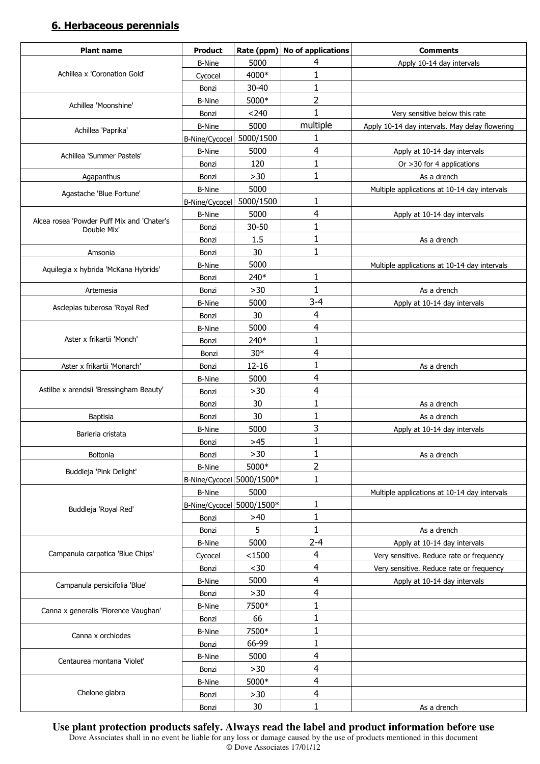## 6. Herbaceous perennials

| <b>Plant name</b>                                         | <b>Product</b>            | Rate (ppm) | No of applications | <b>Comments</b>                                |
|-----------------------------------------------------------|---------------------------|------------|--------------------|------------------------------------------------|
|                                                           | <b>B-Nine</b>             | 5000       | 4                  | Apply 10-14 day intervals                      |
| Achillea x 'Coronation Gold'                              | Cycocel                   | 4000*      | $\mathbf{1}$       |                                                |
|                                                           | Bonzi                     | $30 - 40$  | 1                  |                                                |
| Achillea 'Moonshine'                                      | <b>B-Nine</b>             | 5000*      | 2                  |                                                |
|                                                           | Bonzi                     | < 240      | 1                  | Very sensitive below this rate                 |
| Achillea 'Paprika'                                        | <b>B-Nine</b>             | 5000       | multiple           | Apply 10-14 day intervals. May delay flowering |
|                                                           | B-Nine/Cycocel            | 5000/1500  | 1                  |                                                |
| Achillea 'Summer Pastels'                                 | <b>B-Nine</b>             | 5000       | 4                  | Apply at 10-14 day intervals                   |
|                                                           | Bonzi                     | 120        | $\mathbf{1}$       | Or $>30$ for 4 applications                    |
| Agapanthus                                                | Bonzi                     | >30        | $\mathbf{1}$       | As a drench                                    |
|                                                           | <b>B-Nine</b>             | 5000       |                    | Multiple applications at 10-14 day intervals   |
| Agastache 'Blue Fortune'                                  | B-Nine/Cycocel 5000/1500  |            | 1                  |                                                |
|                                                           | <b>B-Nine</b>             | 5000       | 4                  | Apply at 10-14 day intervals                   |
| Alcea rosea 'Powder Puff Mix and 'Chater's<br>Double Mix' | Bonzi                     | $30 - 50$  | 1                  |                                                |
|                                                           | Bonzi                     | 1.5        | 1                  | As a drench                                    |
| Amsonia                                                   | Bonzi                     | 30         | $\mathbf{1}$       |                                                |
|                                                           | <b>B-Nine</b>             | 5000       |                    | Multiple applications at 10-14 day intervals   |
| Aquilegia x hybrida 'McKana Hybrids'                      | Bonzi                     | 240*       | 1                  |                                                |
| Artemesia                                                 | Bonzi                     | $>30$      | 1                  | As a drench                                    |
|                                                           | <b>B-Nine</b>             | 5000       | $3 - 4$            | Apply at 10-14 day intervals                   |
| Asclepias tuberosa 'Royal Red'                            | Bonzi                     | 30         | 4                  |                                                |
|                                                           | <b>B-Nine</b>             | 5000       | 4                  |                                                |
| Aster x frikartii 'Monch'                                 | Bonzi                     | 240*       | $\mathbf{1}$       |                                                |
|                                                           | Bonzi                     | $30*$      | 4                  |                                                |
| Aster x frikartii 'Monarch'                               | Bonzi                     | $12 - 16$  | 1                  | As a drench                                    |
|                                                           | <b>B-Nine</b>             | 5000       | 4                  |                                                |
| Astilbe x arendsii 'Bressingham Beauty'                   | Bonzi                     | >30        | 4                  |                                                |
|                                                           | Bonzi                     | 30         | 1                  | As a drench                                    |
| Baptisia                                                  | Bonzi                     | 30         | 1                  | As a drench                                    |
|                                                           | <b>B-Nine</b>             | 5000       | 3                  | Apply at 10-14 day intervals                   |
| Barleria cristata                                         | Bonzi                     | $>45$      | 1                  |                                                |
| Boltonia                                                  | Bonzi                     | >30        | 1                  | As a drench                                    |
|                                                           | <b>B-Nine</b>             | 5000*      | 2                  |                                                |
| Buddleja 'Pink Delight'                                   | B-Nine/Cycocel 5000/1500* |            | 1                  |                                                |
|                                                           | <b>B-Nine</b>             | 5000       |                    | Multiple applications at 10-14 day intervals   |
|                                                           | B-Nine/Cycocel 5000/1500* |            | 1                  |                                                |
| Buddleja 'Royal Red'                                      | Bonzi                     | $>40$      | $\mathbf 1$        |                                                |
|                                                           | Bonzi                     | 5          | $\mathbf{1}$       | As a drench                                    |
|                                                           | <b>B-Nine</b>             | 5000       | $2 - 4$            | Apply at 10-14 day intervals                   |
| Campanula carpatica 'Blue Chips'                          | Cycocel                   | < 1500     | 4                  | Very sensitive. Reduce rate or frequency       |
|                                                           | Bonzi                     | $30$       | 4                  | Very sensitive. Reduce rate or frequency       |
|                                                           | <b>B-Nine</b>             | 5000       | 4                  | Apply at 10-14 day intervals                   |
| Campanula persicifolia 'Blue'                             | Bonzi                     | >30        | 4                  |                                                |
|                                                           |                           | 7500*      | 1                  |                                                |
| Canna x generalis 'Florence Vaughan'                      | <b>B-Nine</b><br>Bonzi    | 66         | $\mathbf{1}$       |                                                |
|                                                           |                           | 7500*      | 1                  |                                                |
| Canna x orchiodes                                         | <b>B-Nine</b>             |            |                    |                                                |
|                                                           | Bonzi                     | 66-99      | 1                  |                                                |
| Centaurea montana 'Violet'                                | <b>B-Nine</b>             | 5000       | 4                  |                                                |
|                                                           | Bonzi                     | $>30$      | 4                  |                                                |
| Chelone glabra                                            | <b>B-Nine</b>             | 5000*      | 4                  |                                                |
|                                                           | Bonzi                     | $>30$      | 4                  |                                                |
|                                                           | Bonzi                     | 30         | $\mathbf 1$        | As a drench                                    |

**Use plant protection products safely. Always read the label and product information before use**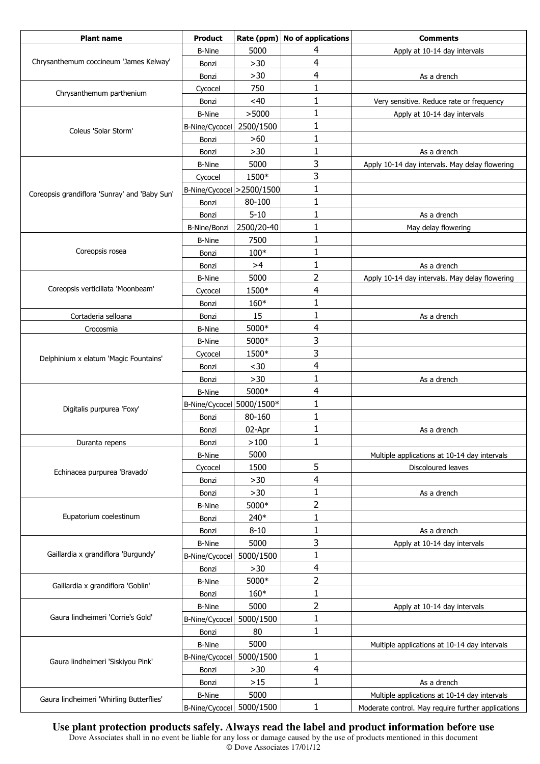| <b>Plant name</b>                             | <b>Product</b>               |            | Rate (ppm) No of applications | <b>Comments</b>                                    |
|-----------------------------------------------|------------------------------|------------|-------------------------------|----------------------------------------------------|
|                                               | <b>B-Nine</b>                | 5000       | 4                             | Apply at 10-14 day intervals                       |
| Chrysanthemum coccineum 'James Kelway'        | Bonzi                        | >30        | 4                             |                                                    |
|                                               | Bonzi                        | $>30$      | 4                             | As a drench                                        |
| Chrysanthemum parthenium                      | Cycocel                      | 750        | $\mathbf{1}$                  |                                                    |
|                                               | Bonzi                        | $<$ 40     | $\mathbf{1}$                  | Very sensitive. Reduce rate or frequency           |
|                                               | <b>B-Nine</b>                | >5000      | 1                             | Apply at 10-14 day intervals                       |
| Coleus 'Solar Storm'                          | B-Nine/Cycocel 2500/1500     |            | 1                             |                                                    |
|                                               | Bonzi                        | >60        | 1                             |                                                    |
|                                               | Bonzi                        | >30        | 1                             | As a drench                                        |
|                                               | <b>B-Nine</b>                | 5000       | 3                             | Apply 10-14 day intervals. May delay flowering     |
|                                               | Cycocel                      | 1500*      | 3                             |                                                    |
| Coreopsis grandiflora 'Sunray' and 'Baby Sun' | B-Nine/Cycocel   > 2500/1500 |            | 1                             |                                                    |
|                                               | Bonzi                        | 80-100     | 1                             |                                                    |
|                                               | Bonzi                        | $5 - 10$   | 1                             | As a drench                                        |
|                                               | B-Nine/Bonzi                 | 2500/20-40 | $\mathbf{1}$                  | May delay flowering                                |
|                                               | <b>B-Nine</b>                | 7500       | 1                             |                                                    |
| Coreopsis rosea                               | Bonzi                        | 100*       | 1                             |                                                    |
|                                               | Bonzi                        | >4         | $\mathbf{1}$                  | As a drench                                        |
|                                               | <b>B-Nine</b>                | 5000       | 2                             | Apply 10-14 day intervals. May delay flowering     |
| Coreopsis verticillata 'Moonbeam'             | Cycocel                      | 1500*      | 4                             |                                                    |
|                                               | Bonzi                        | 160*       | 1                             |                                                    |
| Cortaderia selloana                           | Bonzi                        | 15         | 1                             | As a drench                                        |
| Crocosmia                                     | <b>B-Nine</b>                | 5000*      | 4                             |                                                    |
|                                               | <b>B-Nine</b>                | 5000*      | 3                             |                                                    |
| Delphinium x elatum 'Magic Fountains'         | Cycocel                      | 1500*      | 3                             |                                                    |
|                                               | Bonzi                        | $30$       | 4                             |                                                    |
|                                               | Bonzi                        | $>30$      | $\mathbf{1}$                  | As a drench                                        |
|                                               | <b>B-Nine</b>                | 5000*      | 4                             |                                                    |
| Digitalis purpurea 'Foxy'                     | B-Nine/Cycocel 5000/1500*    |            | $\mathbf{1}$                  |                                                    |
|                                               | Bonzi                        | 80-160     | 1                             |                                                    |
|                                               | Bonzi                        | 02-Apr     | 1                             | As a drench                                        |
| Duranta repens                                | Bonzi                        | >100       | 1                             |                                                    |
|                                               | <b>B-Nine</b>                | 5000       |                               | Multiple applications at 10-14 day intervals       |
| Echinacea purpurea 'Bravado'                  | Cycocel                      | 1500       | 5                             | Discoloured leaves                                 |
|                                               | Bonzi                        | $>30$      | 4                             |                                                    |
|                                               | Bonzi                        | $>30$      | 1                             | As a drench                                        |
|                                               | <b>B-Nine</b>                | 5000*      | 2                             |                                                    |
| Eupatorium coelestinum                        | Bonzi                        | 240*       | 1                             |                                                    |
|                                               | Bonzi                        | $8 - 10$   | $\mathbf{1}$                  | As a drench                                        |
|                                               | <b>B-Nine</b>                | 5000       | 3                             | Apply at 10-14 day intervals                       |
| Gaillardia x grandiflora 'Burgundy'           | B-Nine/Cycocel               | 5000/1500  | 1                             |                                                    |
|                                               | Bonzi                        | >30        | 4                             |                                                    |
| Gaillardia x grandiflora 'Goblin'             | <b>B-Nine</b>                | 5000*      | 2                             |                                                    |
|                                               | Bonzi                        | $160*$     | 1                             |                                                    |
| Gaura lindheimeri 'Corrie's Gold'             | <b>B-Nine</b>                | 5000       | 2                             | Apply at 10-14 day intervals                       |
|                                               | B-Nine/Cycocel               | 5000/1500  | 1                             |                                                    |
|                                               | Bonzi                        | 80         | 1                             |                                                    |
|                                               | <b>B-Nine</b>                | 5000       |                               | Multiple applications at 10-14 day intervals       |
| Gaura lindheimeri 'Siskiyou Pink'             | B-Nine/Cycocel               | 5000/1500  | 1                             |                                                    |
|                                               | Bonzi                        | $>30$      | $\overline{\mathbf{4}}$       |                                                    |
|                                               | Bonzi                        | $>15$      | 1                             | As a drench                                        |
| Gaura lindheimeri 'Whirling Butterflies'      | <b>B-Nine</b>                | 5000       |                               | Multiple applications at 10-14 day intervals       |
|                                               | B-Nine/Cycocel 5000/1500     |            | 1                             | Moderate control. May require further applications |

## **Use plant protection products safely. Always read the label and product information before use**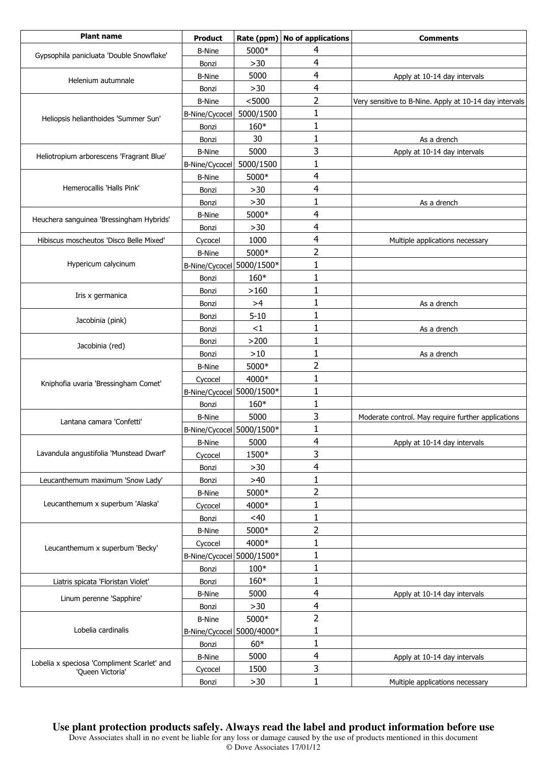| <b>Plant name</b>                           | <b>Product</b>                             | Rate (ppm) | <b>No of applications</b> | <b>Comments</b>                                        |
|---------------------------------------------|--------------------------------------------|------------|---------------------------|--------------------------------------------------------|
|                                             | <b>B-Nine</b>                              | 5000*      | 4                         |                                                        |
| Gypsophila panicluata 'Double Snowflake'    | Bonzi                                      | >30        | 4                         |                                                        |
|                                             | <b>B-Nine</b>                              | 5000       | 4                         | Apply at 10-14 day intervals                           |
| Helenium autumnale                          | Bonzi                                      | $>30$      | 4                         |                                                        |
|                                             | <b>B-Nine</b>                              | < 5000     | 2                         | Very sensitive to B-Nine. Apply at 10-14 day intervals |
|                                             | B-Nine/Cycocel                             | 5000/1500  | 1                         |                                                        |
| Heliopsis helianthoides 'Summer Sun'        | Bonzi                                      | $160*$     | $\mathbf 1$               |                                                        |
|                                             | Bonzi                                      | 30         | 1                         | As a drench                                            |
|                                             | <b>B-Nine</b>                              | 5000       | 3                         | Apply at 10-14 day intervals                           |
| Heliotropium arborescens 'Fragrant Blue'    | B-Nine/Cycocel                             | 5000/1500  | 1                         |                                                        |
|                                             | <b>B-Nine</b>                              | 5000*      | 4                         |                                                        |
| Hemerocallis 'Halls Pink'                   | Bonzi                                      | >30        | 4                         |                                                        |
|                                             | Bonzi                                      | >30        | 1                         | As a drench                                            |
|                                             | <b>B-Nine</b>                              | 5000*      | 4                         |                                                        |
| Heuchera sanguinea 'Bressingham Hybrids'    | Bonzi                                      | $>30$      | 4                         |                                                        |
| Hibiscus moscheutos 'Disco Belle Mixed'     | Cycocel                                    | 1000       | 4                         |                                                        |
|                                             |                                            | 5000*      | 2                         | Multiple applications necessary                        |
| Hypericum calycinum                         | <b>B-Nine</b><br>B-Nine/Cycocel 5000/1500* |            | $\mathbf{1}$              |                                                        |
|                                             |                                            |            |                           |                                                        |
|                                             | Bonzi                                      | 160*       | 1                         |                                                        |
| Iris x germanica                            | Bonzi                                      | >160       | $\mathbf{1}$              |                                                        |
|                                             | Bonzi                                      | >4         | $\mathbf{1}$              | As a drench                                            |
| Jacobinia (pink)                            | Bonzi                                      | $5 - 10$   | 1                         |                                                        |
|                                             | Bonzi                                      | <1         | 1                         | As a drench                                            |
| Jacobinia (red)                             | Bonzi                                      | >200       | $\mathbf 1$               |                                                        |
|                                             | Bonzi                                      | >10        | 1                         | As a drench                                            |
|                                             | <b>B-Nine</b>                              | 5000*      | 2                         |                                                        |
| Kniphofia uvaria 'Bressingham Comet'        | Cycocel                                    | 4000*      | $\mathbf{1}$              |                                                        |
|                                             | B-Nine/Cycocel 5000/1500*                  |            | $\mathbf{1}$              |                                                        |
|                                             | Bonzi                                      | 160*       | 1                         |                                                        |
| Lantana camara 'Confetti'                   | <b>B-Nine</b>                              | 5000       | 3                         | Moderate control. May require further applications     |
|                                             | B-Nine/Cycocel 5000/1500*                  |            | $\mathbf{1}$              |                                                        |
|                                             | <b>B-Nine</b>                              | 5000       | 4                         | Apply at 10-14 day intervals                           |
| Lavandula angustifolia 'Munstead Dwarf'     | Cycocel                                    | 1500*      | 3                         |                                                        |
|                                             | Bonzi                                      | $>30$      | 4                         |                                                        |
| Leucanthemum maximum 'Snow Lady'            | Bonzi                                      | $>40$      | 1                         |                                                        |
|                                             | <b>B-Nine</b>                              | 5000*      | 2                         |                                                        |
| Leucanthemum x superbum 'Alaska'            | Cycocel                                    | 4000*      | 1                         |                                                        |
|                                             | Bonzi                                      | <40        | $\mathbf 1$               |                                                        |
|                                             | <b>B-Nine</b>                              | 5000*      | 2                         |                                                        |
| Leucanthemum x superbum 'Becky'             | Cycocel                                    | 4000*      | 1                         |                                                        |
|                                             | B-Nine/Cycocel 5000/1500*                  |            | 1                         |                                                        |
|                                             | Bonzi                                      | $100*$     | $\mathbf 1$               |                                                        |
| Liatris spicata 'Floristan Violet'          | Bonzi                                      | 160*       | $\mathbf 1$               |                                                        |
|                                             | <b>B-Nine</b>                              | 5000       | 4                         | Apply at 10-14 day intervals                           |
| Linum perenne 'Sapphire'                    | Bonzi                                      | >30        | 4                         |                                                        |
|                                             | <b>B-Nine</b>                              | 5000*      | 2                         |                                                        |
| Lobelia cardinalis                          | B-Nine/Cycocel 5000/4000*                  |            | 1                         |                                                        |
|                                             | Bonzi                                      | $60*$      | $\mathbf 1$               |                                                        |
|                                             | <b>B-Nine</b>                              | 5000       | 4                         | Apply at 10-14 day intervals                           |
| Lobelia x speciosa 'Compliment Scarlet' and | Cycocel                                    | 1500       | 3                         |                                                        |
| 'Queen Victoria'                            | Bonzi                                      | $>30$      | $\mathbf 1$               | Multiple applications necessary                        |
|                                             |                                            |            |                           |                                                        |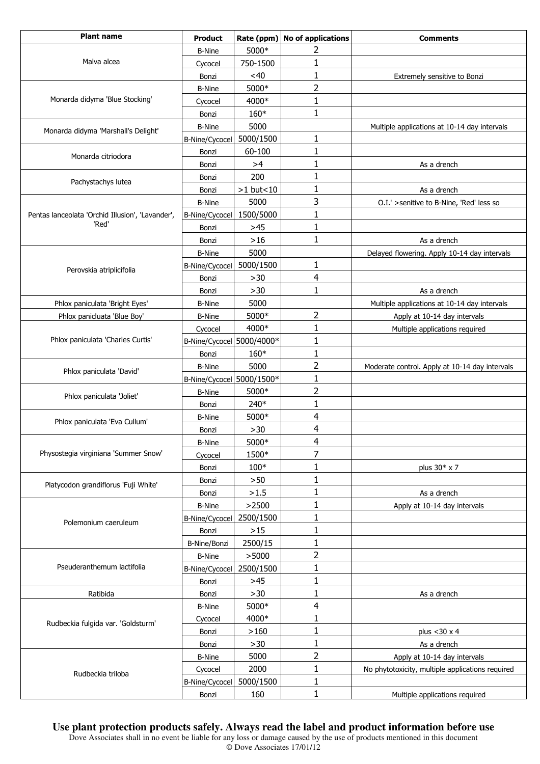| <b>Plant name</b>                                | <b>Product</b>            | Rate (ppm)     | <b>No of applications</b> | <b>Comments</b>                                  |
|--------------------------------------------------|---------------------------|----------------|---------------------------|--------------------------------------------------|
|                                                  | <b>B-Nine</b>             | 5000*          | 2                         |                                                  |
| Malva alcea                                      | Cycocel                   | 750-1500       | 1                         |                                                  |
|                                                  | Bonzi                     | <40            | $\mathbf{1}$              | Extremely sensitive to Bonzi                     |
|                                                  | <b>B-Nine</b>             | 5000*          | $\overline{2}$            |                                                  |
| Monarda didyma 'Blue Stocking'                   | Cycocel                   | 4000*          | $\mathbf{1}$              |                                                  |
|                                                  | Bonzi                     | 160*           | 1                         |                                                  |
|                                                  | <b>B-Nine</b>             | 5000           |                           | Multiple applications at 10-14 day intervals     |
| Monarda didyma 'Marshall's Delight'              | B-Nine/Cycocel            | 5000/1500      | 1                         |                                                  |
|                                                  | Bonzi                     | 60-100         | $\mathbf{1}$              |                                                  |
| Monarda citriodora                               | Bonzi                     | >4             | $\mathbf{1}$              | As a drench                                      |
|                                                  | Bonzi                     | 200            | 1                         |                                                  |
| Pachystachys lutea                               | Bonzi                     | $>1$ but<10    | $\mathbf{1}$              | As a drench                                      |
|                                                  | <b>B-Nine</b>             | 5000           | 3                         | O.I.' >senitive to B-Nine, 'Red' less so         |
| Pentas lanceolata 'Orchid Illusion', 'Lavander', | B-Nine/Cycocel            | 1500/5000      | 1                         |                                                  |
| 'Red'                                            | Bonzi                     | $>45$          | $\mathbf{1}$              |                                                  |
|                                                  | Bonzi                     | $>16$          | $\mathbf{1}$              | As a drench                                      |
|                                                  | <b>B-Nine</b>             | 5000           |                           | Delayed flowering. Apply 10-14 day intervals     |
|                                                  | B-Nine/Cycocel            | 5000/1500      | 1                         |                                                  |
| Perovskia atriplicifolia                         | Bonzi                     | >30            | 4                         |                                                  |
|                                                  | Bonzi                     | $>30$          | $\mathbf{1}$              | As a drench                                      |
| Phlox paniculata 'Bright Eyes'                   | <b>B-Nine</b>             | 5000           |                           | Multiple applications at 10-14 day intervals     |
| Phlox panicluata 'Blue Boy'                      | <b>B-Nine</b>             | 5000*          | 2                         | Apply at 10-14 day intervals                     |
|                                                  | Cycocel                   | 4000*          | 1                         | Multiple applications required                   |
| Phlox paniculata 'Charles Curtis'                | B-Nine/Cycocel 5000/4000* |                | 1                         |                                                  |
|                                                  | Bonzi                     | 160*           | 1                         |                                                  |
|                                                  | <b>B-Nine</b>             | 5000           | 2                         | Moderate control. Apply at 10-14 day intervals   |
| Phlox paniculata 'David'                         | B-Nine/Cycocel 5000/1500* |                | $\mathbf{1}$              |                                                  |
|                                                  | <b>B-Nine</b>             | 5000*          | 2                         |                                                  |
| Phlox paniculata 'Joliet'                        | Bonzi                     | 240*           | $\mathbf{1}$              |                                                  |
|                                                  | <b>B-Nine</b>             | 5000*          | 4                         |                                                  |
| Phlox paniculata 'Eva Cullum'                    | Bonzi                     | $>30$          | $\overline{4}$            |                                                  |
|                                                  | <b>B-Nine</b>             | 5000*          | 4                         |                                                  |
| Physostegia virginiana 'Summer Snow'             | Cycocel                   | 1500*          | 7                         |                                                  |
|                                                  | Bonzi                     | $100*$         | 1                         | plus 30* x 7                                     |
|                                                  | Bonzi                     | $>50$          | $\mathbf{1}$              |                                                  |
| Platycodon grandiflorus 'Fuji White'             | Bonzi                     | >1.5           | 1                         | As a drench                                      |
|                                                  | <b>B-Nine</b>             | >2500          | 1                         | Apply at 10-14 day intervals                     |
|                                                  | B-Nine/Cycocel            | 2500/1500      | $\mathbf{1}$              |                                                  |
| Polemonium caeruleum                             | Bonzi                     | $>15$          | $\mathbf{1}$              |                                                  |
|                                                  | B-Nine/Bonzi              | 2500/15        | $\mathbf{1}$              |                                                  |
|                                                  | <b>B-Nine</b>             | >5000          | 2                         |                                                  |
| Pseuderanthemum lactifolia                       | B-Nine/Cycocel            | 2500/1500      | $\mathbf{1}$              |                                                  |
|                                                  |                           | $>45$          | $\mathbf{1}$              |                                                  |
|                                                  | Bonzi                     |                |                           |                                                  |
| Ratibida                                         | Bonzi                     | $>30$          | 1<br>4                    | As a drench                                      |
|                                                  | <b>B-Nine</b>             | 5000*<br>4000* |                           |                                                  |
| Rudbeckia fulgida var. 'Goldsturm'               | Cycocel                   |                | 1                         |                                                  |
|                                                  | Bonzi                     | >160           | $\mathbf{1}$              | plus $<$ 30 $\times$ 4                           |
|                                                  | Bonzi                     | $>30$          |                           | As a drench                                      |
|                                                  | <b>B-Nine</b>             | 5000           | 2<br>$\mathbf{1}$         | Apply at 10-14 day intervals                     |
| Rudbeckia triloba                                | Cycocel                   | 2000           | $\mathbf{1}$              | No phytotoxicity, multiple applications required |
|                                                  | B-Nine/Cycocel            | 5000/1500      |                           |                                                  |
|                                                  | Bonzi                     | 160            |                           | Multiple applications required                   |

## **Use plant protection products safely. Always read the label and product information before use**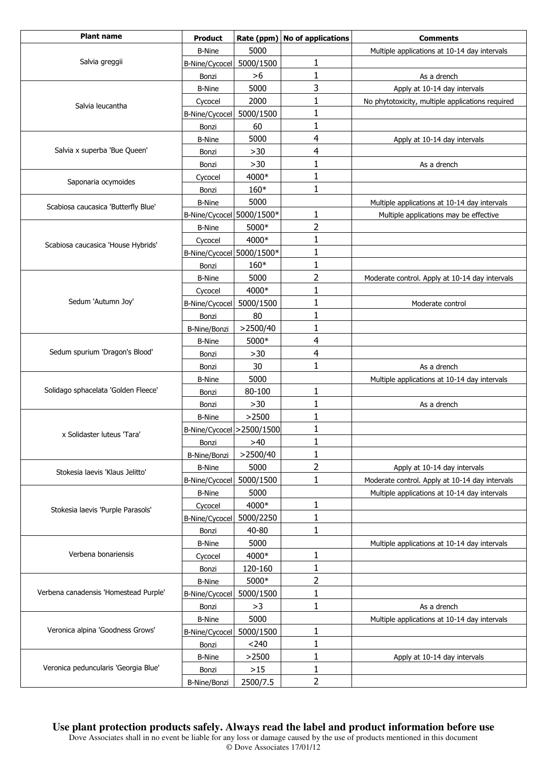| <b>Plant name</b>                     | <b>Product</b>             |           | Rate (ppm) No of applications | <b>Comments</b>                                  |
|---------------------------------------|----------------------------|-----------|-------------------------------|--------------------------------------------------|
|                                       | <b>B-Nine</b>              | 5000      |                               | Multiple applications at 10-14 day intervals     |
| Salvia greggii                        | <b>B-Nine/Cycocel</b>      | 5000/1500 | 1                             |                                                  |
|                                       | Bonzi                      | >6        | $\mathbf 1$                   | As a drench                                      |
|                                       | <b>B-Nine</b>              | 5000      | 3                             | Apply at 10-14 day intervals                     |
| Salvia leucantha                      | Cycocel                    | 2000      | 1                             | No phytotoxicity, multiple applications required |
|                                       | B-Nine/Cycocel             | 5000/1500 | 1                             |                                                  |
|                                       | Bonzi                      | 60        | $\mathbf 1$                   |                                                  |
|                                       | <b>B-Nine</b>              | 5000      | 4                             | Apply at 10-14 day intervals                     |
| Salvia x superba 'Bue Queen'          | Bonzi                      | $>30$     | 4                             |                                                  |
|                                       | Bonzi                      | $>30$     | 1                             | As a drench                                      |
| Saponaria ocymoides                   | Cycocel                    | 4000*     | 1                             |                                                  |
|                                       | Bonzi                      | 160*      | 1                             |                                                  |
| Scabiosa caucasica 'Butterfly Blue'   | <b>B-Nine</b>              | 5000      |                               | Multiple applications at 10-14 day intervals     |
|                                       | B-Nine/Cycocel 5000/1500*  |           | 1                             | Multiple applications may be effective           |
|                                       | <b>B-Nine</b>              | 5000*     | 2                             |                                                  |
| Scabiosa caucasica 'House Hybrids'    | Cycocel                    | 4000*     | 1                             |                                                  |
|                                       | B-Nine/Cycocel 5000/1500*  |           | $\mathbf{1}$                  |                                                  |
|                                       | Bonzi                      | 160*      | $\mathbf{1}$                  |                                                  |
|                                       | <b>B-Nine</b>              | 5000      | 2                             | Moderate control. Apply at 10-14 day intervals   |
|                                       | Cycocel                    | 4000*     | $\mathbf 1$                   |                                                  |
| Sedum 'Autumn Joy'                    | <b>B-Nine/Cycocel</b>      | 5000/1500 | $\mathbf{1}$                  | Moderate control                                 |
|                                       | Bonzi                      | 80        | 1                             |                                                  |
|                                       | B-Nine/Bonzi               | >2500/40  | 1                             |                                                  |
|                                       | <b>B-Nine</b>              | 5000*     | 4                             |                                                  |
| Sedum spurium 'Dragon's Blood'        | Bonzi                      | >30       | 4                             |                                                  |
|                                       | Bonzi                      | 30        | $\mathbf{1}$                  | As a drench                                      |
|                                       | <b>B-Nine</b>              | 5000      |                               | Multiple applications at 10-14 day intervals     |
| Solidago sphacelata 'Golden Fleece'   | Bonzi                      | 80-100    | 1                             |                                                  |
|                                       | Bonzi                      | >30       | 1                             | As a drench                                      |
|                                       | <b>B-Nine</b>              | >2500     | $\mathbf{1}$                  |                                                  |
| x Solidaster luteus 'Tara'            | B-Nine/Cycocel > 2500/1500 |           | 1                             |                                                  |
|                                       | Bonzi                      | >40       | 1                             |                                                  |
|                                       | B-Nine/Bonzi               | >2500/40  | 1                             |                                                  |
| Stokesia laevis 'Klaus Jelitto'       | <b>B-Nine</b>              | 5000      | 2                             | Apply at 10-14 day intervals                     |
|                                       | B-Nine/Cycocel             | 5000/1500 | $\mathbf{1}$                  | Moderate control. Apply at 10-14 day intervals   |
|                                       | <b>B-Nine</b>              | 5000      |                               | Multiple applications at 10-14 day intervals     |
| Stokesia laevis 'Purple Parasols'     | Cycocel                    | 4000*     | 1                             |                                                  |
|                                       | B-Nine/Cycocel             | 5000/2250 | 1                             |                                                  |
|                                       | Bonzi                      | 40-80     | 1                             |                                                  |
|                                       | <b>B-Nine</b>              | 5000      |                               | Multiple applications at 10-14 day intervals     |
| Verbena bonariensis                   | Cycocel                    | 4000*     | 1                             |                                                  |
|                                       | Bonzi                      | 120-160   | 1                             |                                                  |
|                                       | <b>B-Nine</b>              | 5000*     | 2                             |                                                  |
| Verbena canadensis 'Homestead Purple' | <b>B-Nine/Cycocel</b>      | 5000/1500 | 1                             |                                                  |
|                                       | Bonzi                      | >3        | $\mathbf 1$                   | As a drench                                      |
|                                       | <b>B-Nine</b>              | 5000      |                               | Multiple applications at 10-14 day intervals     |
| Veronica alpina 'Goodness Grows'      | B-Nine/Cycocel             | 5000/1500 | 1                             |                                                  |
|                                       | Bonzi                      | < 240     | 1                             |                                                  |
|                                       | <b>B-Nine</b>              | >2500     | 1                             | Apply at 10-14 day intervals                     |
| Veronica peduncularis 'Georgia Blue'  | Bonzi                      | $>15$     | 1                             |                                                  |
|                                       | <b>B-Nine/Bonzi</b>        | 2500/7.5  | 2                             |                                                  |

**Use plant protection products safely. Always read the label and product information before use**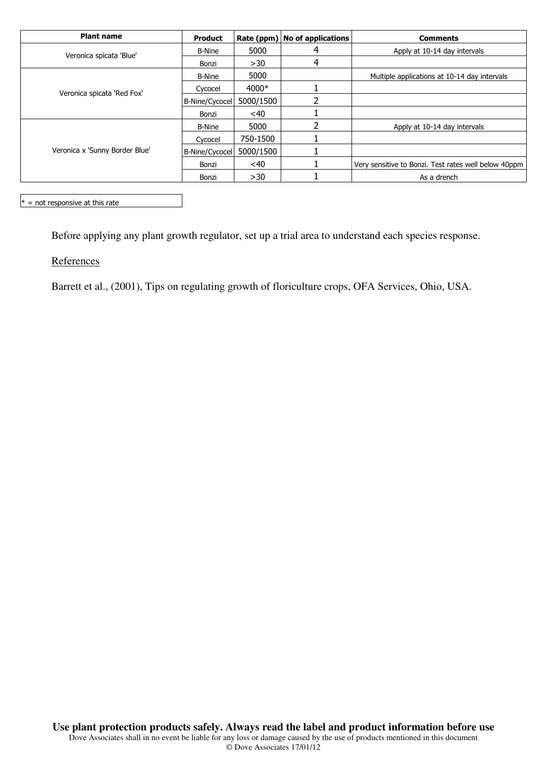| <b>Plant name</b>              | <b>Product</b>        |           | Rate (ppm)   No of applications | <b>Comments</b>                                      |
|--------------------------------|-----------------------|-----------|---------------------------------|------------------------------------------------------|
| Veronica spicata 'Blue'        | B-Nine                | 5000      | 4                               | Apply at 10-14 day intervals                         |
|                                | Bonzi                 | >30       | 4                               |                                                      |
| Veronica spicata 'Red Fox'     | B-Nine                | 5000      |                                 | Multiple applications at 10-14 day intervals         |
|                                | Cycocel               | 4000*     |                                 |                                                      |
|                                | <b>B-Nine/Cycocel</b> | 5000/1500 |                                 |                                                      |
|                                | Bonzi                 | <40       |                                 |                                                      |
| Veronica x 'Sunny Border Blue' | B-Nine                | 5000      |                                 | Apply at 10-14 day intervals                         |
|                                | Cycocel               | 750-1500  |                                 |                                                      |
|                                | B-Nine/Cycocel        | 5000/1500 |                                 |                                                      |
|                                | Bonzi                 | $~<$ 40   |                                 | Very sensitive to Bonzi. Test rates well below 40ppm |
|                                | Bonzi                 | >30       |                                 | As a drench                                          |

 $* =$  not responsive at this rate

Before applying any plant growth regulator, set up a trial area to understand each species response.

**References** 

Barrett et al., (2001), Tips on regulating growth of floriculture crops, OFA Services, Ohio, USA.